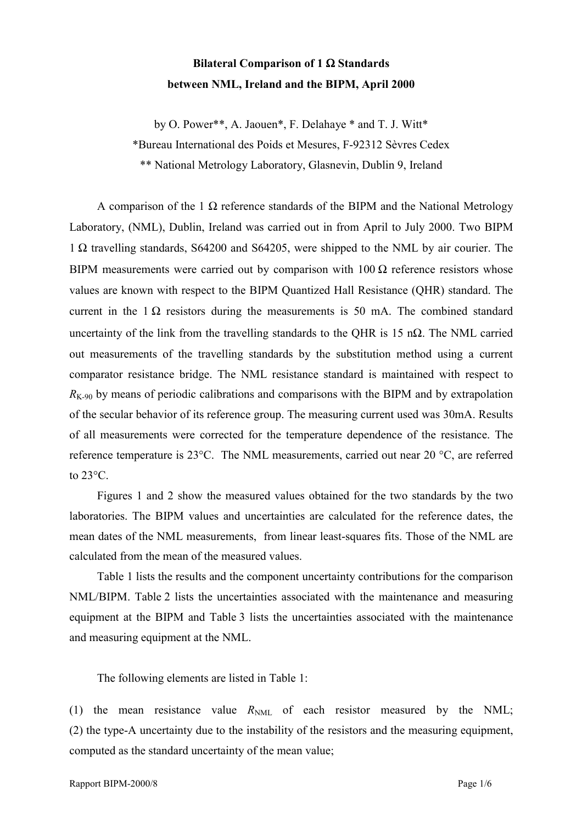## **Bilateral Comparison of 1** Ω **Standards between NML, Ireland and the BIPM, April 2000**

by O. Power\*\*, A. Jaouen\*, F. Delahaye \* and T. J. Witt\*

\*Bureau International des Poids et Mesures, F-92312 Sèvres Cedex

\*\* National Metrology Laboratory, Glasnevin, Dublin 9, Ireland

A comparison of the 1  $\Omega$  reference standards of the BIPM and the National Metrology Laboratory, (NML), Dublin, Ireland was carried out in from April to July 2000. Two BIPM 1 Ω travelling standards, S64200 and S64205, were shipped to the NML by air courier. The BIPM measurements were carried out by comparison with  $100 \Omega$  reference resistors whose values are known with respect to the BIPM Quantized Hall Resistance (QHR) standard. The current in the  $1 \Omega$  resistors during the measurements is 50 mA. The combined standard uncertainty of the link from the travelling standards to the QHR is 15 n $\Omega$ . The NML carried out measurements of the travelling standards by the substitution method using a current comparator resistance bridge. The NML resistance standard is maintained with respect to  $R_{K-90}$  by means of periodic calibrations and comparisons with the BIPM and by extrapolation of the secular behavior of its reference group. The measuring current used was 30mA. Results of all measurements were corrected for the temperature dependence of the resistance. The reference temperature is 23°C. The NML measurements, carried out near 20 °C, are referred to  $23^{\circ}$ C.

Figures 1 and 2 show the measured values obtained for the two standards by the two laboratories. The BIPM values and uncertainties are calculated for the reference dates, the mean dates of the NML measurements, from linear least-squares fits. Those of the NML are calculated from the mean of the measured values.

Table 1 lists the results and the component uncertainty contributions for the comparison NML/BIPM. Table 2 lists the uncertainties associated with the maintenance and measuring equipment at the BIPM and Table 3 lists the uncertainties associated with the maintenance and measuring equipment at the NML.

The following elements are listed in Table 1:

(1) the mean resistance value  $R_{NML}$  of each resistor measured by the NML; (2) the type-A uncertainty due to the instability of the resistors and the measuring equipment, computed as the standard uncertainty of the mean value;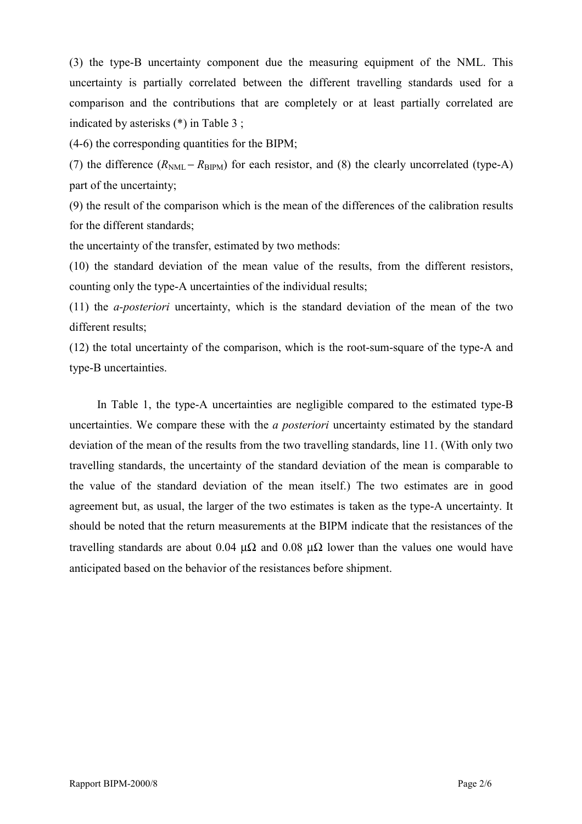(3) the type-B uncertainty component due the measuring equipment of the NML. This uncertainty is partially correlated between the different travelling standards used for a comparison and the contributions that are completely or at least partially correlated are indicated by asterisks (\*) in Table 3 ;

(4-6) the corresponding quantities for the BIPM;

(7) the difference  $(R_{NML} - R_{RIPM})$  for each resistor, and (8) the clearly uncorrelated (type-A) part of the uncertainty;

(9) the result of the comparison which is the mean of the differences of the calibration results for the different standards;

the uncertainty of the transfer, estimated by two methods:

(10) the standard deviation of the mean value of the results, from the different resistors, counting only the type-A uncertainties of the individual results;

(11) the *a-posteriori* uncertainty, which is the standard deviation of the mean of the two different results;

(12) the total uncertainty of the comparison, which is the root-sum-square of the type-A and type-B uncertainties.

In Table 1, the type-A uncertainties are negligible compared to the estimated type-B uncertainties. We compare these with the *a posteriori* uncertainty estimated by the standard deviation of the mean of the results from the two travelling standards, line 11. (With only two travelling standards, the uncertainty of the standard deviation of the mean is comparable to the value of the standard deviation of the mean itself.) The two estimates are in good agreement but, as usual, the larger of the two estimates is taken as the type-A uncertainty. It should be noted that the return measurements at the BIPM indicate that the resistances of the travelling standards are about 0.04  $\mu\Omega$  and 0.08  $\mu\Omega$  lower than the values one would have anticipated based on the behavior of the resistances before shipment.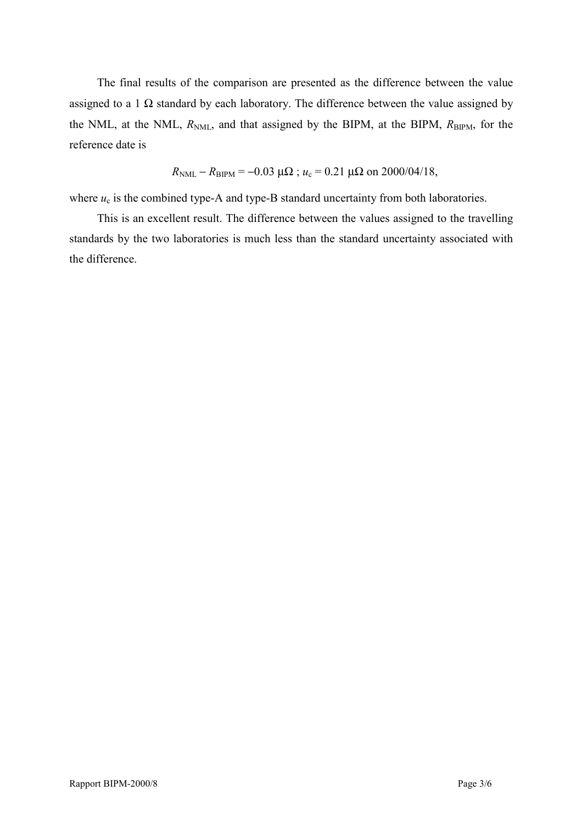The final results of the comparison are presented as the difference between the value assigned to a 1  $\Omega$  standard by each laboratory. The difference between the value assigned by the NML, at the NML,  $R_{NML}$ , and that assigned by the BIPM, at the BIPM,  $R_{BIPM}$ , for the reference date is

$$
R_{\text{NML}} - R_{\text{BIPM}} = -0.03 \, \mu\Omega
$$
;  $u_c = 0.21 \, \mu\Omega$  on 2000/04/18,

where  $u_c$  is the combined type-A and type-B standard uncertainty from both laboratories.

This is an excellent result. The difference between the values assigned to the travelling standards by the two laboratories is much less than the standard uncertainty associated with the difference.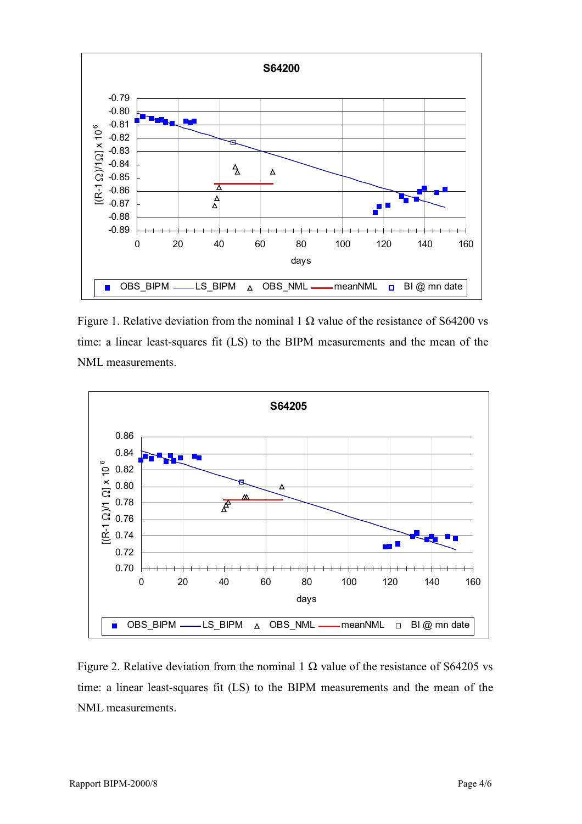

Figure 1. Relative deviation from the nominal 1  $\Omega$  value of the resistance of S64200 vs time: a linear least-squares fit (LS) to the BIPM measurements and the mean of the NML measurements.



Figure 2. Relative deviation from the nominal 1  $\Omega$  value of the resistance of S64205 vs time: a linear least-squares fit (LS) to the BIPM measurements and the mean of the NML measurements.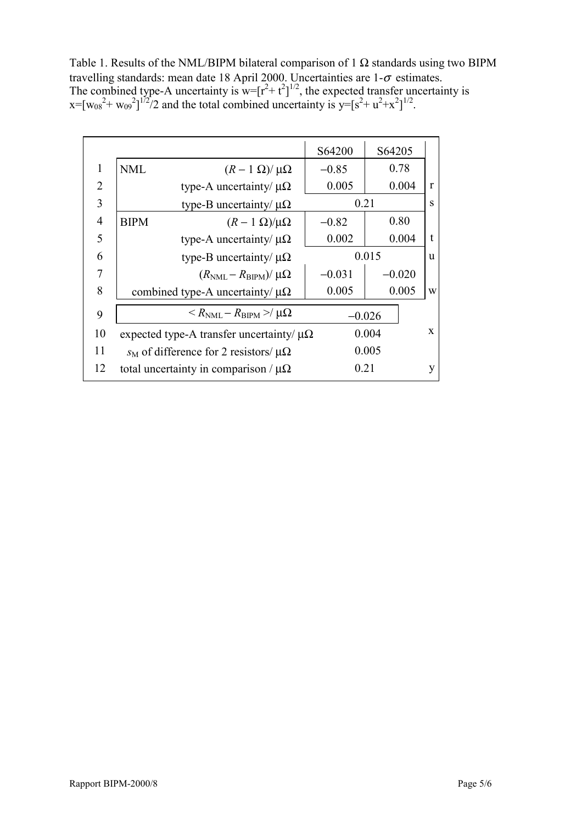Table 1. Results of the NML/BIPM bilateral comparison of 1  $\Omega$  standards using two BIPM travelling standards: mean date 18 April 2000. Uncertainties are  $1-\sigma$  estimates. The combined type-A uncertainty is  $w=[r^2+t^2]^{1/2}$ , the expected transfer uncertainty is  $x=[w_{08}^2+w_{09}^2]^{1/2}/2$  and the total combined uncertainty is  $y=[s^2+w^2+x^2]^{1/2}$ .

|                |                                                                 | S64200   | S64205                |              |
|----------------|-----------------------------------------------------------------|----------|-----------------------|--------------|
| 1              | <b>NML</b><br>$(R-1 \Omega)/\mu\Omega$                          | $-0.85$  | 0.78                  |              |
| 2              | type-A uncertainty/ $\mu\Omega$                                 | 0.005    | 0.004                 | $\mathbf{r}$ |
| 3              | type-B uncertainty/ $\mu\Omega$                                 | 0.21     |                       | S            |
| $\overline{4}$ | <b>BIPM</b><br>$(R-1 \Omega)/\mu\Omega$                         | $-0.82$  | 0.80                  |              |
| 5              | type-A uncertainty/ $\mu\Omega$                                 | 0.002    | 0.004                 | $\mathbf{f}$ |
| 6              | type-B uncertainty/ $\mu\Omega$                                 |          | 0.015<br><sub>u</sub> |              |
| 7              | $(R_{\text{NML}} - R_{\text{BIPM}})/\mu\Omega$                  | $-0.031$ | $-0.020$              |              |
| 8              | combined type-A uncertainty/ $\mu\Omega$                        | 0.005    | 0.005                 | W            |
| 9              | $\langle R_{\text{NML}} - R_{\text{BIPM}} \rangle / \mu \Omega$ | $-0.026$ |                       |              |
| 10             | expected type-A transfer uncertainty/ $\mu\Omega$               |          | 0.004                 | $\mathbf{x}$ |
| 11             | $s_M$ of difference for 2 resistors/ $\mu\Omega$                | 0.005    |                       |              |
| 12             | total uncertainty in comparison / $\mu\Omega$                   | 0.21     |                       | y            |
|                |                                                                 |          |                       |              |